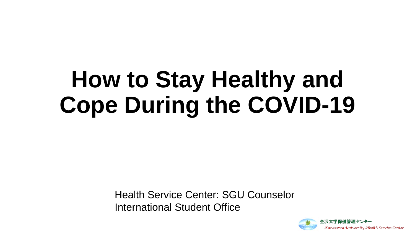# **How to Stay Healthy and Cope During the COVID-19**

Health Service Center: SGU Counselor International Student Office

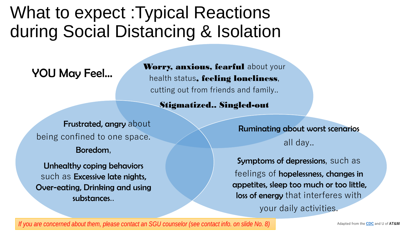### What to expect :Typical Reactions during Social Distancing & Isolation

YOU May Feel…

Worry, anxious, fearful about your health status, feeling loneliness, cutting out from friends and family..

Stigmatized.. Singled-out

Frustrated, angry about being confined to one space.

Boredom,

Unhealthy coping behaviors such as Excessive late nights, Over-eating, Drinking and using substances..

Ruminating about worst scenarios all day..

Symptoms of depressions, such as feelings of hopelessness, changes in appetites, sleep too much or too little, loss of energy that interferes with your daily activities.

*If you are concerned about them, please contact an SGU counselor (see contact info. on slide No. 8)*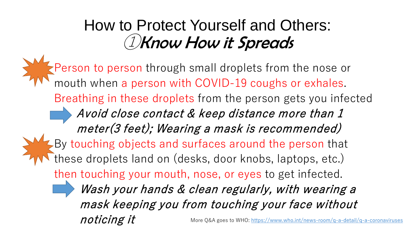#### How to Protect Yourself and Others: ①Know How it Spreads

Person to person through small droplets from the nose or mouth when a person with COVID-19 coughs or exhales. Breathing in these droplets from the person gets you infected Avoid close contact & keep distance more than 1 meter(3 feet); Wearing a mask is recommended) By touching objects and surfaces around the person that these droplets land on (desks, door knobs, laptops, etc.) then touching your mouth, nose, or eyes to get infected. Wash your hands & clean regularly, with wearing a mask keeping you from touching your face without  $noting$  it  $\sigma$  More Q&A goes to WHO:<https://www.who.int/news-room/q-a-detail/q-a-coronaviruses>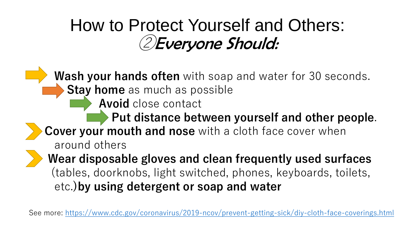### How to Protect Yourself and Others: ②Everyone Should:

**Wash your hands often** with soap and water for 30 seconds. **Stay home** as much as possible **Avoid** close contact **Put distance between yourself and other people**. **Cover your mouth and nose** with a cloth face cover when around others **Wear disposable gloves and clean frequently used surfaces** (tables, doorknobs, light switched, phones, keyboards, toilets, etc.**)by using detergent or soap and water**

See more: <https://www.cdc.gov/coronavirus/2019-ncov/prevent-getting-sick/diy-cloth-face-coverings.html>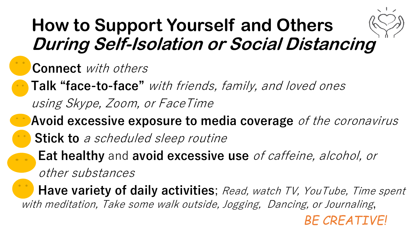## **How to Support Yourself and Others During Self-Isolation or Social Distancing**

#### **Connect** with others

- **Talk "face-to-face"** with friends, family, and loved ones
	- using Skype, Zoom, or FaceTime
- **Avoid excessive exposure to media coverage** of the coronavirus
	- Stick to a scheduled sleep routine
		- **Eat healthy** and **avoid excessive use** of caffeine, alcohol, or other substances

**Have variety of daily activities**; Read, watch TV, YouTube, Time spent with meditation, Take some walk outside, Jogging, Dancing, or Journaling,

*BE CREATIVE!*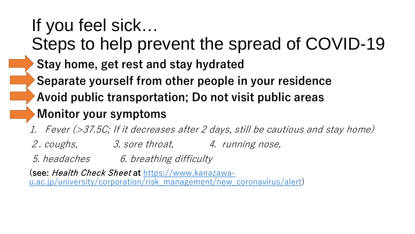#### If you feel sick… Steps to help prevent the spread of COVID-19 • **Stay home, get rest and stay hydrated** • **Separate yourself from other people in your residence** • **Avoid public transportation; Do not visit public areas** • **Monitor your symptoms**  1. Fever (>37.5C; If it decreases after 2 days, still be cautious and stay home) 2. coughs, 3. sore throat, 4. running nose,

5. headaches 6. breathing difficulty

**(see:** Health Check Sheet **at** https://www.kanazawa[u.ac.jp/university/corporation/risk\\_management/new\\_coronavirus/alert\)](https://www.kanazawa-u.ac.jp/university/corporation/risk_management/new_coronavirus/alert)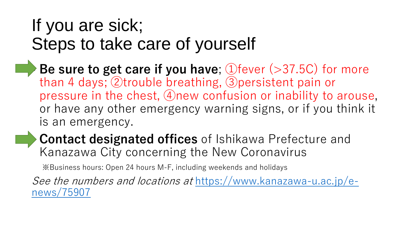### If you are sick; Steps to take care of yourself

- **Be sure to get care if you have**; ①fever (>37.5C) for more than 4 days; ②trouble breathing, ③persistent pain or pressure in the chest, ④new confusion or inability to arouse, or have any other emergency warning signs, or if you think it is an emergency.
- **Contact designated offices** of Ishikawa Prefecture and Kanazawa City concerning the New Coronavirus

※Business hours: Open 24 hours M-F, including weekends and holidays

See the numbers and locations at [https://www.kanazawa-u.ac.jp/e](https://www.kanazawa-u.ac.jp/e-news/75907)news/75907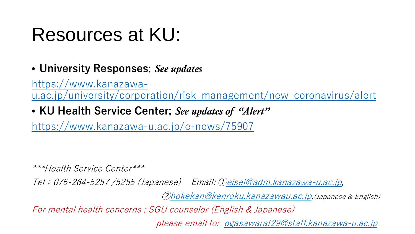## Resources at KU:

• **University Responses**; *See updates*

https://www.kanazawa[u.ac.jp/university/corporation/risk\\_management/new\\_coronavirus/alert](https://www.kanazawa-u.ac.jp/university/corporation/risk_management/new_coronavirus/alert)

• **KU Health Service Center;** *See updates of "Alert"* 

<https://www.kanazawa-u.ac.jp/e-news/75907>

\*\*\*Health Service Center\*\*\*

Tel:076-264-5257 /5255 (Japanese) Email: ①[eisei@adm.kanazawa-u.ac.jp](mailto:eisei@adm.kanazawa-u.ac.jp),

②[hokekan@kenroku.kanazawau.ac.jp](mailto:hokekan@kenroku.kanazawau.ac.jp),(Japanese & English)

For mental health concerns ; SGU counselor (English & Japanese)

please email to: [ogasawarat29@staff.kanazawa-u.ac.jp](mailto:ogasawarat29@staff.kanazawa-u.ac.jp)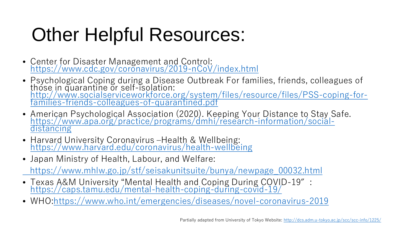# Other Helpful Resources:

- Center for Disaster Management and Control:<br><https://www.cdc.gov/coronavirus/2019-nCoV/index.html>
- Psychological Coping during a Disease Outbreak For families, friends, colleagues of those in quarantine or self-isolation: [http://www.socialserviceworkforce.org/system/files/resource/files/PSS-coping-for-](http://www.socialserviceworkforce.org/system/files/resource/files/PSS-coping-for-families-friends-colleagues-of-quarantined.pdf)<br>families-friends-colleagues-of-quarantined.pdf
- American Psychological Association (2020). Keeping Your Distance to Stay Safe.<br>[https://www.apa.org/practice/programs/dmhi/research-information/social-](https://www.apa.org/practice/programs/dmhi/research-information/social-distancing)<br>distancing
- Harvard University Coronavirus –Health & Wellbeing:<br><https://www.harvard.edu/coronavirus/health-wellbeing>
- Japan Ministry of Health, Labour, and Welfare:

[https://www.mhlw.go.jp/stf/seisakunitsuite/bunya/newpage\\_00032.html](https://www.mhlw.go.jp/stf/seisakunitsuite/bunya/newpage_00032.html)

- Texas A&M University "Mental Health and Coping During COVID-19″: <https://caps.tamu.edu/mental-health-coping-during-covid-19/>
- WHO[:https://www.who.int/emergencies/diseases/novel-coronavirus-2019](https://www.who.int/emergencies/diseases/novel-coronavirus-2019)